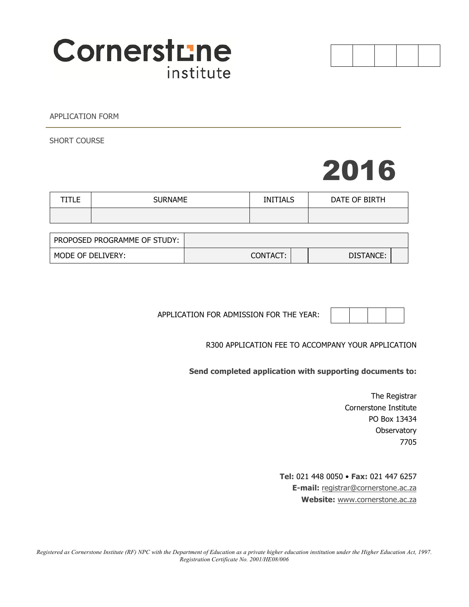

APPLICATION FORM

SHORT COURSE

# 2016

| -- | <b>SURNAME</b> | <b>INITIALS</b> | DATE OF BIRTH |
|----|----------------|-----------------|---------------|
|    |                |                 |               |

| PROPOSED PROGRAMME OF STUDY: |          |           |  |
|------------------------------|----------|-----------|--|
| MODE OF DELIVERY:            | CONTACT: | DISTANCE: |  |

APPLICATION FOR ADMISSION FOR THE YEAR:

R300 APPLICATION FEE TO ACCOMPANY YOUR APPLICATION

**Send completed application with supporting documents to:**

The Registrar Cornerstone Institute PO Box 13434 **Observatory** 7705

**Tel:** 021 448 0050 • **Fax:** 021 447 6257 **E-mail:** registrar@cornerstone.ac.za **Website:** www.cornerstone.ac.za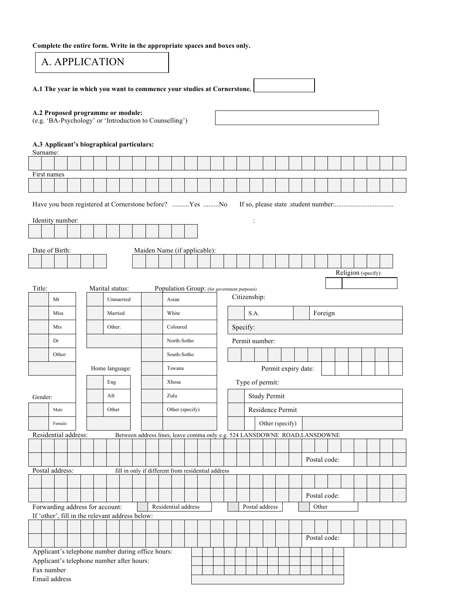**Complete the entire form. Write in the appropriate spaces and boxes only.** 

|                                                        | A. APPLICATION                                                                               |  |  |  |                 |  |  |                                                                            |  |                     |  |  |                                             |  |          |                     |                 |                     |         |              |  |  |  |  |
|--------------------------------------------------------|----------------------------------------------------------------------------------------------|--|--|--|-----------------|--|--|----------------------------------------------------------------------------|--|---------------------|--|--|---------------------------------------------|--|----------|---------------------|-----------------|---------------------|---------|--------------|--|--|--|--|
|                                                        | A.1 The year in which you want to commence your studies at Cornerstone.                      |  |  |  |                 |  |  |                                                                            |  |                     |  |  |                                             |  |          |                     |                 |                     |         |              |  |  |  |  |
|                                                        | A.2 Proposed programme or module:<br>(e.g. 'BA-Psychology' or 'Introduction to Counselling') |  |  |  |                 |  |  |                                                                            |  |                     |  |  |                                             |  |          |                     |                 |                     |         |              |  |  |  |  |
| Surname:                                               | A.3 Applicant's biographical particulars:                                                    |  |  |  |                 |  |  |                                                                            |  |                     |  |  |                                             |  |          |                     |                 |                     |         |              |  |  |  |  |
|                                                        |                                                                                              |  |  |  |                 |  |  |                                                                            |  |                     |  |  |                                             |  |          |                     |                 |                     |         |              |  |  |  |  |
|                                                        | First names                                                                                  |  |  |  |                 |  |  |                                                                            |  |                     |  |  |                                             |  |          |                     |                 |                     |         |              |  |  |  |  |
|                                                        |                                                                                              |  |  |  |                 |  |  |                                                                            |  |                     |  |  |                                             |  |          |                     |                 |                     |         |              |  |  |  |  |
| Have you been registered at Cornerstone before? Yes No |                                                                                              |  |  |  |                 |  |  |                                                                            |  |                     |  |  |                                             |  |          |                     |                 |                     |         |              |  |  |  |  |
| Identity number:                                       |                                                                                              |  |  |  |                 |  |  |                                                                            |  |                     |  |  |                                             |  |          |                     |                 |                     |         |              |  |  |  |  |
| Date of Birth:<br>Maiden Name (if applicable):         |                                                                                              |  |  |  |                 |  |  |                                                                            |  |                     |  |  |                                             |  |          |                     |                 |                     |         |              |  |  |  |  |
|                                                        |                                                                                              |  |  |  |                 |  |  |                                                                            |  |                     |  |  |                                             |  |          |                     |                 |                     |         |              |  |  |  |  |
|                                                        |                                                                                              |  |  |  |                 |  |  |                                                                            |  |                     |  |  |                                             |  |          |                     |                 |                     |         |              |  |  |  |  |
| Religion (specify):                                    |                                                                                              |  |  |  |                 |  |  |                                                                            |  |                     |  |  |                                             |  |          |                     |                 |                     |         |              |  |  |  |  |
| Title:                                                 |                                                                                              |  |  |  | Marital status: |  |  |                                                                            |  |                     |  |  | Population Group: (for government purposes) |  |          |                     |                 |                     |         |              |  |  |  |  |
|                                                        | Mr                                                                                           |  |  |  | Unmarried       |  |  |                                                                            |  | Asian               |  |  |                                             |  |          | Citizenship:        |                 |                     |         |              |  |  |  |  |
|                                                        | Miss                                                                                         |  |  |  | Married         |  |  |                                                                            |  | White               |  |  |                                             |  |          | S.A.                |                 |                     | Foreign |              |  |  |  |  |
|                                                        | Mrs                                                                                          |  |  |  |                 |  |  |                                                                            |  |                     |  |  |                                             |  |          |                     |                 |                     |         |              |  |  |  |  |
|                                                        |                                                                                              |  |  |  | Other:          |  |  |                                                                            |  | Coloured            |  |  |                                             |  | Specify: |                     |                 |                     |         |              |  |  |  |  |
|                                                        | Dr                                                                                           |  |  |  |                 |  |  |                                                                            |  | North-Sotho         |  |  |                                             |  |          | Permit number:      |                 |                     |         |              |  |  |  |  |
|                                                        | Other:                                                                                       |  |  |  |                 |  |  |                                                                            |  | South-Sotho         |  |  |                                             |  |          |                     |                 |                     |         |              |  |  |  |  |
|                                                        |                                                                                              |  |  |  | Home language:  |  |  |                                                                            |  | Tswana              |  |  |                                             |  |          |                     |                 | Permit expiry date: |         |              |  |  |  |  |
|                                                        |                                                                                              |  |  |  | ${\rm Eng}$     |  |  |                                                                            |  | Xhosa               |  |  |                                             |  |          | Type of permit:     |                 |                     |         |              |  |  |  |  |
| Gender:                                                |                                                                                              |  |  |  | Afr             |  |  |                                                                            |  | Zulu                |  |  |                                             |  |          | <b>Study Permit</b> |                 |                     |         |              |  |  |  |  |
|                                                        | Male                                                                                         |  |  |  | Other           |  |  |                                                                            |  | Other (specify)     |  |  |                                             |  |          | Residence Permit    |                 |                     |         |              |  |  |  |  |
|                                                        | Female                                                                                       |  |  |  |                 |  |  |                                                                            |  |                     |  |  |                                             |  |          |                     | Other (specify) |                     |         |              |  |  |  |  |
|                                                        | Residential address:                                                                         |  |  |  |                 |  |  | Between address lines, leave comma only e.g. 524 LANSDOWNE ROAD, LANSDOWNE |  |                     |  |  |                                             |  |          |                     |                 |                     |         |              |  |  |  |  |
|                                                        |                                                                                              |  |  |  |                 |  |  |                                                                            |  |                     |  |  |                                             |  |          |                     |                 |                     |         |              |  |  |  |  |
|                                                        |                                                                                              |  |  |  |                 |  |  |                                                                            |  |                     |  |  |                                             |  |          |                     |                 |                     |         | Postal code: |  |  |  |  |
|                                                        | Postal address:                                                                              |  |  |  |                 |  |  | fill in only if different from residential address                         |  |                     |  |  |                                             |  |          |                     |                 |                     |         |              |  |  |  |  |
|                                                        |                                                                                              |  |  |  |                 |  |  |                                                                            |  |                     |  |  |                                             |  |          |                     |                 |                     |         |              |  |  |  |  |
|                                                        |                                                                                              |  |  |  |                 |  |  |                                                                            |  |                     |  |  |                                             |  |          |                     |                 |                     | Other   | Postal code: |  |  |  |  |
|                                                        | Forwarding address for account:<br>If 'other', fill in the relevant address below:           |  |  |  |                 |  |  |                                                                            |  | Residential address |  |  |                                             |  |          | Postal address      |                 |                     |         |              |  |  |  |  |
|                                                        |                                                                                              |  |  |  |                 |  |  |                                                                            |  |                     |  |  |                                             |  |          |                     |                 |                     |         |              |  |  |  |  |
|                                                        |                                                                                              |  |  |  |                 |  |  |                                                                            |  |                     |  |  |                                             |  |          |                     |                 |                     |         | Postal code: |  |  |  |  |
|                                                        | Applicant's telephone number during office hours:                                            |  |  |  |                 |  |  |                                                                            |  |                     |  |  |                                             |  |          |                     |                 |                     |         |              |  |  |  |  |
|                                                        | Applicant's telephone number after hours:<br>Fax number                                      |  |  |  |                 |  |  |                                                                            |  |                     |  |  |                                             |  |          |                     |                 |                     |         |              |  |  |  |  |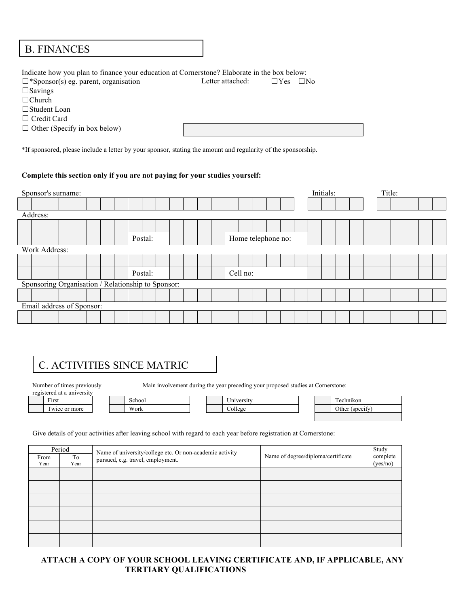## D. FINANCES B. FINANCES

Indicate how you plan to finance your education at Cornerstone? Elaborate in the box below:

| $\Box$ *Sponsor(s) eg. parent, organisation | Letter attached: | $\Box$ Yes<br>- INo |
|---------------------------------------------|------------------|---------------------|
| $\square$ Savings                           |                  |                     |
| $\Box$ Church                               |                  |                     |
| $\Box$ Student Loan                         |                  |                     |
| $\Box$ Credit Card                          |                  |                     |
| $\Box$ Other (Specify in box below)         |                  |                     |
|                                             |                  |                     |

\*If sponsored, please include a letter by your sponsor, stating the amount and regularity of the sponsorship.

## **Complete this section only if you are not paying for your studies yourself:**

| Sponsor's surname:                                 |                               |  |  |  |  |  |  |         |  |  |  |  |  |  |          |  |  |  | Initials: |  | Title: |  |  |
|----------------------------------------------------|-------------------------------|--|--|--|--|--|--|---------|--|--|--|--|--|--|----------|--|--|--|-----------|--|--------|--|--|
|                                                    |                               |  |  |  |  |  |  |         |  |  |  |  |  |  |          |  |  |  |           |  |        |  |  |
| Address:                                           |                               |  |  |  |  |  |  |         |  |  |  |  |  |  |          |  |  |  |           |  |        |  |  |
|                                                    |                               |  |  |  |  |  |  |         |  |  |  |  |  |  |          |  |  |  |           |  |        |  |  |
|                                                    | Home telephone no:<br>Postal: |  |  |  |  |  |  |         |  |  |  |  |  |  |          |  |  |  |           |  |        |  |  |
|                                                    | Work Address:                 |  |  |  |  |  |  |         |  |  |  |  |  |  |          |  |  |  |           |  |        |  |  |
|                                                    |                               |  |  |  |  |  |  |         |  |  |  |  |  |  |          |  |  |  |           |  |        |  |  |
|                                                    |                               |  |  |  |  |  |  | Postal: |  |  |  |  |  |  | Cell no: |  |  |  |           |  |        |  |  |
| Sponsoring Organisation / Relationship to Sponsor: |                               |  |  |  |  |  |  |         |  |  |  |  |  |  |          |  |  |  |           |  |        |  |  |
|                                                    |                               |  |  |  |  |  |  |         |  |  |  |  |  |  |          |  |  |  |           |  |        |  |  |
| Email address of Sponsor:                          |                               |  |  |  |  |  |  |         |  |  |  |  |  |  |          |  |  |  |           |  |        |  |  |
|                                                    |                               |  |  |  |  |  |  |         |  |  |  |  |  |  |          |  |  |  |           |  |        |  |  |

# C. ACTIVITIES SINCE MATRIC

registered at a university

Number of times previously Main involvement during the year preceding your proposed studies at Cornerstone:

First | | School | University | | Technikon

| nool |
|------|
|      |

Twice or more Work Work College

| Technikon       |
|-----------------|
| Other (specify) |
|                 |

#### Give details of your activities after leaving school with regard to each year before registration at Cornerstone:

| From<br>Year | Period<br>To<br>Year | Name of university/college etc. Or non-academic activity<br>pursued, e.g. travel, employment. | Name of degree/diploma/certificate | Study<br>complete<br>(yes/no) |
|--------------|----------------------|-----------------------------------------------------------------------------------------------|------------------------------------|-------------------------------|
|              |                      |                                                                                               |                                    |                               |
|              |                      |                                                                                               |                                    |                               |
|              |                      |                                                                                               |                                    |                               |
|              |                      |                                                                                               |                                    |                               |
|              |                      |                                                                                               |                                    |                               |
|              |                      |                                                                                               |                                    |                               |
|              |                      |                                                                                               |                                    |                               |

## **ATTACH A COPY OF YOUR SCHOOL LEAVING CERTIFICATE AND, IF APPLICABLE, ANY TERTIARY QUALIFICATIONS**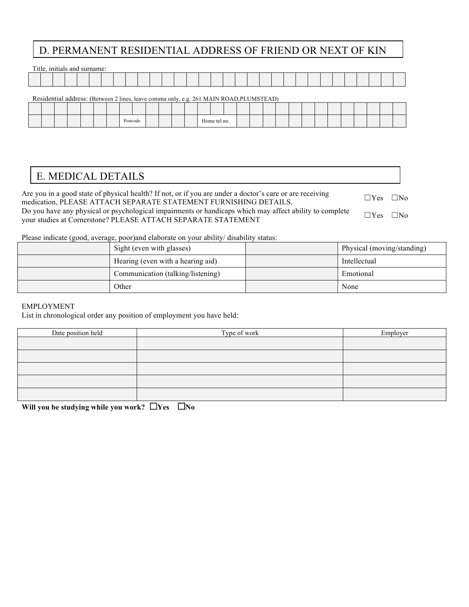## D. PERMANENT RESIDENTIAL ADDRESS OF FRIEND OR NEXT OF KIN

|                                                                                         |  | Title, initials and surname: |  |  |  |  |  |  |  |  |  |  |  |  |  |  |  |  |  |  |  |  |
|-----------------------------------------------------------------------------------------|--|------------------------------|--|--|--|--|--|--|--|--|--|--|--|--|--|--|--|--|--|--|--|--|
|                                                                                         |  |                              |  |  |  |  |  |  |  |  |  |  |  |  |  |  |  |  |  |  |  |  |
| Residential address: (Between 2 lines, leave comma only, e.g. 261 MAIN ROAD, PLUMSTEAD) |  |                              |  |  |  |  |  |  |  |  |  |  |  |  |  |  |  |  |  |  |  |  |
|                                                                                         |  |                              |  |  |  |  |  |  |  |  |  |  |  |  |  |  |  |  |  |  |  |  |

|  |  |  | Postcode |  |  |  | Home tel no. |  |  |  |  |  |  |  |
|--|--|--|----------|--|--|--|--------------|--|--|--|--|--|--|--|

## E. MEDICAL DETAILS

Are you in a good state of physical health? If not, or if you are under a doctor's care or are receiving Are you in a good state of physical health? If hot, or if you are under a doctor s care or are receiving  $\Box$  Yes  $\Box$  No medication, PLEASE ATTACH SEPARATE STATEMENT FURNISHING DETAILS.

Do you have any physical or psychological impairments or handicaps which may affect ability to complete  $\mu$  you have any physical or psychological impalments of nandicaps which may affect ability to complete  $\Box$  Yes  $\Box$  No your studies at Cornerstone? PLEASE ATTACH SEPARATE STATEMENT

Please indicate (good, average, poor)and elaborate on your ability/ disability status:

| Sight (even with glasses)         | Physical (moving/standing) |
|-----------------------------------|----------------------------|
| Hearing (even with a hearing aid) | Intellectual               |
| Communication (talking/listening) | Emotional                  |
| Other                             | None                       |

## EMPLOYMENT

List in chronological order any position of employment you have held:

| Date position held | Type of work | Employer |
|--------------------|--------------|----------|
|                    |              |          |
|                    |              |          |
|                    |              |          |
|                    |              |          |
|                    |              |          |

**Will you be studying while you work?** □**Yes** □**No**